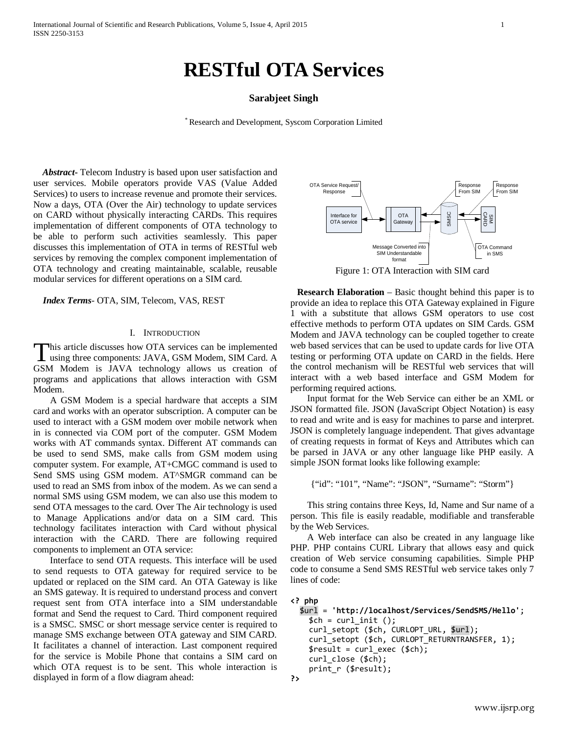# **RESTful OTA Services**

## **Sarabjeet Singh**

\* Research and Development, Syscom Corporation Limited

 *Abstract***-** Telecom Industry is based upon user satisfaction and user services. Mobile operators provide VAS (Value Added Services) to users to increase revenue and promote their services. Now a days, OTA (Over the Air) technology to update services on CARD without physically interacting CARDs. This requires implementation of different components of OTA technology to be able to perform such activities seamlessly. This paper discusses this implementation of OTA in terms of RESTful web services by removing the complex component implementation of OTA technology and creating maintainable, scalable, reusable modular services for different operations on a SIM card.

#### *Index Terms*- OTA, SIM, Telecom, VAS, REST

### I. INTRODUCTION

his article discusses how OTA services can be implemented This article discusses how OTA services can be implemented<br>using three components: JAVA, GSM Modem, SIM Card. A GSM Modem is JAVA technology allows us creation of programs and applications that allows interaction with GSM Modem.

A GSM Modem is a special hardware that accepts a SIM card and works with an operator subscription. A computer can be used to interact with a GSM modem over mobile network when in is connected via COM port of the computer. GSM Modem works with AT commands syntax. Different AT commands can be used to send SMS, make calls from GSM modem using computer system. For example, AT+CMGC command is used to Send SMS using GSM modem. AT^SMGR command can be used to read an SMS from inbox of the modem. As we can send a normal SMS using GSM modem, we can also use this modem to send OTA messages to the card. Over The Air technology is used to Manage Applications and/or data on a SIM card. This technology facilitates interaction with Card without physical interaction with the CARD. There are following required components to implement an OTA service:

Interface to send OTA requests. This interface will be used to send requests to OTA gateway for required service to be updated or replaced on the SIM card. An OTA Gateway is like an SMS gateway. It is required to understand process and convert request sent from OTA interface into a SIM understandable format and Send the request to Card. Third component required is a SMSC. SMSC or short message service center is required to manage SMS exchange between OTA gateway and SIM CARD. It facilitates a channel of interaction. Last component required for the service is Mobile Phone that contains a SIM card on which OTA request is to be sent. This whole interaction is displayed in form of a flow diagram ahead:



Figure 1: OTA Interaction with SIM card

 **Research Elaboration** – Basic thought behind this paper is to provide an idea to replace this OTA Gateway explained in Figure 1 with a substitute that allows GSM operators to use cost effective methods to perform OTA updates on SIM Cards. GSM Modem and JAVA technology can be coupled together to create web based services that can be used to update cards for live OTA testing or performing OTA update on CARD in the fields. Here the control mechanism will be RESTful web services that will interact with a web based interface and GSM Modem for performing required actions.

Input format for the Web Service can either be an XML or JSON formatted file. JSON (JavaScript Object Notation) is easy to read and write and is easy for machines to parse and interpret. JSON is completely language independent. That gives advantage of creating requests in format of Keys and Attributes which can be parsed in JAVA or any other language like PHP easily. A simple JSON format looks like following example:

{"id": "101", "Name": "JSON", "Surname": "Storm"}

This string contains three Keys, Id, Name and Sur name of a person. This file is easily readable, modifiable and transferable by the Web Services.

A Web interface can also be created in any language like PHP. PHP contains CURL Library that allows easy and quick creation of Web service consuming capabilities. Simple PHP code to consume a Send SMS RESTful web service takes only 7 lines of code:

## **<? php** \$url = **'http://localhost/Services/SendSMS/Hello'**;

```
$ch = curl init (); curl_setopt ($ch, CURLOPT_URL, $url);
 curl_setopt ($ch, CURLOPT_RETURNTRANSFER, 1);
$result = curl\_exec (math>
curl close ($ch);
print r ($result);
```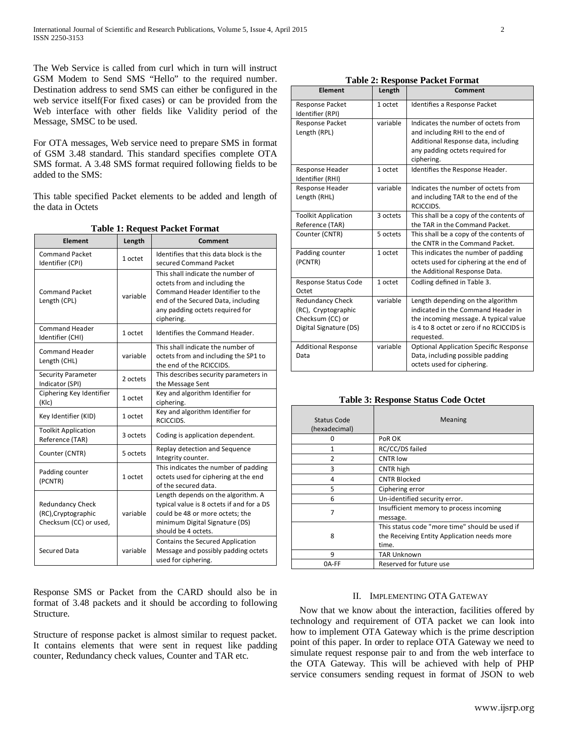The Web Service is called from curl which in turn will instruct GSM Modem to Send SMS "Hello" to the required number. Destination address to send SMS can either be configured in the web service itself(For fixed cases) or can be provided from the Web interface with other fields like Validity period of the Message, SMSC to be used.

For OTA messages, Web service need to prepare SMS in format of GSM 3.48 standard. This standard specifies complete OTA SMS format. A 3.48 SMS format required following fields to be added to the SMS:

This table specified Packet elements to be added and length of the data in Octets

| <b>Element</b>                                                           | Length   | radio 1. Request 1 aciet 1 of mat<br>Comment                                                                                                                                                  |
|--------------------------------------------------------------------------|----------|-----------------------------------------------------------------------------------------------------------------------------------------------------------------------------------------------|
| <b>Command Packet</b><br>Identifier (CPI)                                | 1 octet  | Identifies that this data block is the<br>secured Command Packet                                                                                                                              |
| <b>Command Packet</b><br>Length (CPL)                                    | variable | This shall indicate the number of<br>octets from and including the<br>Command Header Identifier to the<br>end of the Secured Data, including<br>any padding octets required for<br>ciphering. |
| <b>Command Header</b><br>Identifier (CHI)                                | 1 octet  | Identifies the Command Header.                                                                                                                                                                |
| <b>Command Header</b><br>Length (CHL)                                    | variable | This shall indicate the number of<br>octets from and including the SP1 to<br>the end of the RCICCIDS.                                                                                         |
| <b>Security Parameter</b><br>Indicator (SPI)                             | 2 octets | This describes security parameters in<br>the Message Sent                                                                                                                                     |
| Ciphering Key Identifier<br>(KIc)                                        | 1 octet  | Key and algorithm Identifier for<br>ciphering.                                                                                                                                                |
| Key Identifier (KID)                                                     | 1 octet  | Key and algorithm Identifier for<br>RCICCIDS.                                                                                                                                                 |
| <b>Toolkit Application</b><br>Reference (TAR)                            | 3 octets | Coding is application dependent.                                                                                                                                                              |
| Counter (CNTR)                                                           | 5 octets | Replay detection and Sequence<br>Integrity counter.                                                                                                                                           |
| Padding counter<br>(PCNTR)                                               | 1 octet  | This indicates the number of padding<br>octets used for ciphering at the end<br>of the secured data.                                                                                          |
| <b>Redundancy Check</b><br>(RC), Cryptographic<br>Checksum (CC) or used, | variable | Length depends on the algorithm. A<br>typical value is 8 octets if and for a DS<br>could be 48 or more octets; the<br>minimum Digital Signature (DS)<br>should be 4 octets.                   |
| Secured Data                                                             | variable | Contains the Secured Application<br>Message and possibly padding octets<br>used for ciphering.                                                                                                |

**Table 1: Request Packet Format**

Response SMS or Packet from the CARD should also be in format of 3.48 packets and it should be according to following Structure.

Structure of response packet is almost similar to request packet. It contains elements that were sent in request like padding counter, Redundancy check values, Counter and TAR etc.

| <b>Table 2: Response Packet Format</b> |  |
|----------------------------------------|--|
|                                        |  |

| Element                                                                                      | Length   | Comment                                                                                                                                                                     |
|----------------------------------------------------------------------------------------------|----------|-----------------------------------------------------------------------------------------------------------------------------------------------------------------------------|
| Response Packet<br>Identifier (RPI)                                                          | 1 octet  | Identifies a Response Packet                                                                                                                                                |
| <b>Response Packet</b><br>Length (RPL)                                                       | variable | Indicates the number of octets from<br>and including RHI to the end of<br>Additional Response data, including<br>any padding octets required for<br>ciphering.              |
| Response Header<br>Identifier (RHI)                                                          | 1 octet  | Identifies the Response Header.                                                                                                                                             |
| Response Header<br>Length (RHL)                                                              | variable | Indicates the number of octets from<br>and including TAR to the end of the<br>RCICCIDS.                                                                                     |
| <b>Toolkit Application</b><br>Reference (TAR)                                                | 3 octets | This shall be a copy of the contents of<br>the TAR in the Command Packet.                                                                                                   |
| Counter (CNTR)                                                                               | 5 octets | This shall be a copy of the contents of<br>the CNTR in the Command Packet.                                                                                                  |
| Padding counter<br>(PCNTR)                                                                   | 1 octet  | This indicates the number of padding<br>octets used for ciphering at the end of<br>the Additional Response Data.                                                            |
| Response Status Code<br>Octet                                                                | 1 octet  | Codling defined in Table 3.                                                                                                                                                 |
| <b>Redundancy Check</b><br>(RC), Cryptographic<br>Checksum (CC) or<br>Digital Signature (DS) | variable | Length depending on the algorithm<br>indicated in the Command Header in<br>the incoming message. A typical value<br>is 4 to 8 octet or zero if no RCICCIDS is<br>requested. |
| <b>Additional Response</b><br>Data                                                           | variable | <b>Optional Application Specific Response</b><br>Data, including possible padding<br>octets used for ciphering.                                                             |

|  | <b>Table 3: Response Status Code Octet</b> |
|--|--------------------------------------------|
|--|--------------------------------------------|

| <b>Status Code</b><br>(hexadecimal) | Meaning                                                                                                |
|-------------------------------------|--------------------------------------------------------------------------------------------------------|
|                                     | PoR OK                                                                                                 |
| 1                                   | RC/CC/DS failed                                                                                        |
| $\overline{2}$                      | <b>CNTR low</b>                                                                                        |
| 3                                   | CNTR high                                                                                              |
| 4                                   | <b>CNTR Blocked</b>                                                                                    |
| 5                                   | Ciphering error                                                                                        |
| 6                                   | Un-identified security error.                                                                          |
| 7                                   | Insufficient memory to process incoming<br>message.                                                    |
| 8                                   | This status code "more time" should be used if<br>the Receiving Entity Application needs more<br>time. |
| q                                   | <b>TAR Unknown</b>                                                                                     |
| 0A-FF                               | Reserved for future use                                                                                |

## II. IMPLEMENTING OTA GATEWAY

 Now that we know about the interaction, facilities offered by technology and requirement of OTA packet we can look into how to implement OTA Gateway which is the prime description point of this paper. In order to replace OTA Gateway we need to simulate request response pair to and from the web interface to the OTA Gateway. This will be achieved with help of PHP service consumers sending request in format of JSON to web